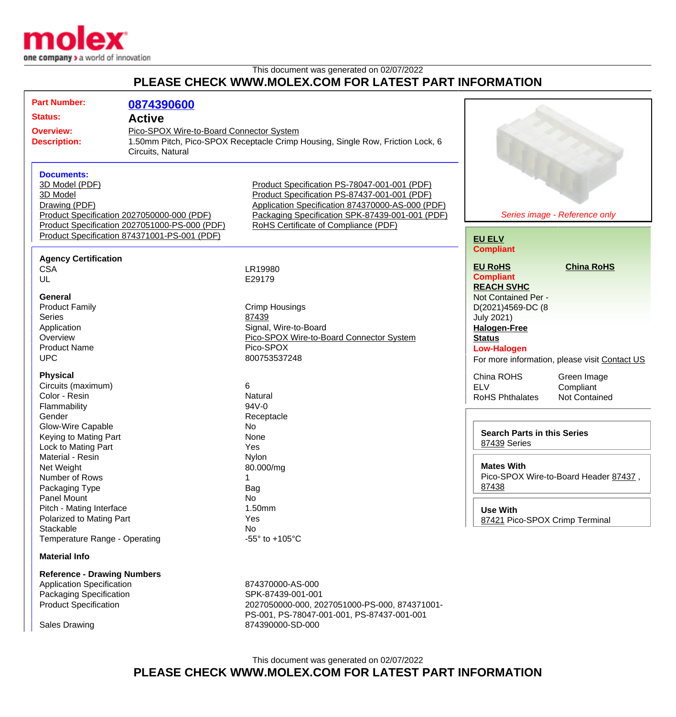

This document was generated on 02/07/2022

## **PLEASE CHECK WWW.MOLEX.COM FOR LATEST PART INFORMATION**

| <b>Part Number:</b><br><b>Status:</b><br><b>Overview:</b><br><b>Description:</b>                                                                          | 0874390600<br><b>Active</b><br>Pico-SPOX Wire-to-Board Connector System<br>Circuits, Natural                                                | 1.50mm Pitch, Pico-SPOX Receptacle Crimp Housing, Single Row, Friction Lock, 6                                                                                                                                                              |                                                                                                                                                  |                                                  |
|-----------------------------------------------------------------------------------------------------------------------------------------------------------|---------------------------------------------------------------------------------------------------------------------------------------------|---------------------------------------------------------------------------------------------------------------------------------------------------------------------------------------------------------------------------------------------|--------------------------------------------------------------------------------------------------------------------------------------------------|--------------------------------------------------|
| <b>Documents:</b><br>3D Model (PDF)<br>3D Model<br>Drawing (PDF)                                                                                          | Product Specification 2027050000-000 (PDF)<br>Product Specification 2027051000-PS-000 (PDF)<br>Product Specification 874371001-PS-001 (PDF) | Product Specification PS-78047-001-001 (PDF)<br>Product Specification PS-87437-001-001 (PDF)<br>Application Specification 874370000-AS-000 (PDF)<br>Packaging Specification SPK-87439-001-001 (PDF)<br>RoHS Certificate of Compliance (PDF) | <b>EU ELV</b>                                                                                                                                    | Series image - Reference only                    |
| <b>Agency Certification</b><br><b>CSA</b><br>UL                                                                                                           |                                                                                                                                             | LR19980<br>E29179                                                                                                                                                                                                                           | <b>Compliant</b><br><b>EU RoHS</b><br><b>Compliant</b>                                                                                           | <b>China RoHS</b>                                |
| <b>General</b><br><b>Product Family</b><br><b>Series</b><br>Application<br>Overview<br><b>Product Name</b><br><b>UPC</b>                                  |                                                                                                                                             | Crimp Housings<br>87439<br>Signal, Wire-to-Board<br>Pico-SPOX Wire-to-Board Connector System<br>Pico-SPOX<br>800753537248                                                                                                                   | <b>REACH SVHC</b><br>Not Contained Per -<br>D(2021)4569-DC (8<br><b>July 2021)</b><br><b>Halogen-Free</b><br><b>Status</b><br><b>Low-Halogen</b> | For more information, please visit Contact US    |
| <b>Physical</b><br>Circuits (maximum)<br>Color - Resin<br>Flammability<br>Gender<br>Glow-Wire Capable<br>Keying to Mating Part                            |                                                                                                                                             | 6<br>Natural<br>94V-0<br>Receptacle<br>No<br>None                                                                                                                                                                                           | China ROHS<br><b>ELV</b><br><b>RoHS Phthalates</b><br><b>Search Parts in this Series</b>                                                         | Green Image<br>Compliant<br><b>Not Contained</b> |
| Lock to Mating Part<br>Material - Resin<br>Net Weight<br>Number of Rows<br>Packaging Type<br>Panel Mount<br>Pitch - Mating Interface                      |                                                                                                                                             | Yes<br>Nylon<br>80.000/mg<br>Bag<br>No<br>1.50mm                                                                                                                                                                                            | 87439 Series<br><b>Mates With</b><br>Pico-SPOX Wire-to-Board Header 87437,<br>87438<br><b>Use With</b>                                           |                                                  |
| Polarized to Mating Part<br>Stackable<br>Temperature Range - Operating<br><b>Material Info</b>                                                            |                                                                                                                                             | Yes<br>No<br>-55 $\degree$ to +105 $\degree$ C                                                                                                                                                                                              | 87421 Pico-SPOX Crimp Terminal                                                                                                                   |                                                  |
| <b>Reference - Drawing Numbers</b><br><b>Application Specification</b><br>Packaging Specification<br><b>Product Specification</b><br><b>Sales Drawing</b> |                                                                                                                                             | 874370000-AS-000<br>SPK-87439-001-001<br>2027050000-000, 2027051000-PS-000, 874371001-<br>PS-001, PS-78047-001-001, PS-87437-001-001<br>874390000-SD-000                                                                                    |                                                                                                                                                  |                                                  |